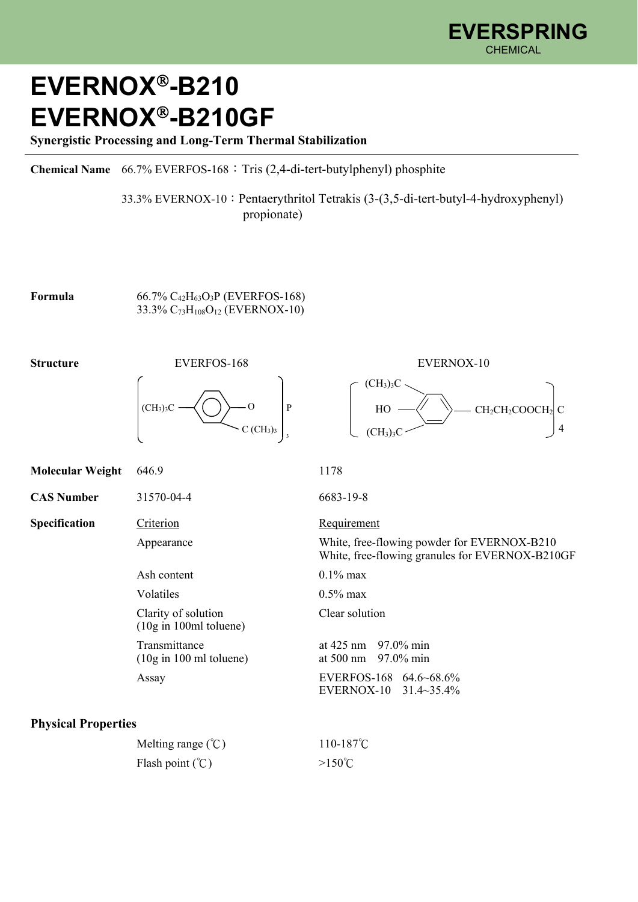## **EVERNOX-B210 EVERNOX-B210GF**

**Synergistic Processing and Long-Term Thermal Stabilization** 

**Chemical Name** 66.7% EVERFOS-168:Tris (2,4-di-tert-butylphenyl) phosphite

 33.3% EVERNOX-10:Pentaerythritol Tetrakis (3-(3,5-di-tert-butyl-4-hydroxyphenyl) propionate)

 $(CH_3)_3C$ .

 $(CH<sub>3</sub>)<sub>3</sub>C$ 

 $HO \longrightarrow \qquad \searrow$  CH<sub>2</sub>CH<sub>2</sub>COOCH<sub>2</sub> C

4

**Formula** 66.7%  $C_{42}H_{63}O_3P$  (EVERFOS-168) 33.3% C73H108O12 (EVERNOX-10)



| <b>Molecular Weight</b>    | 646.9                                                            | 1178                                                                                                          |  |
|----------------------------|------------------------------------------------------------------|---------------------------------------------------------------------------------------------------------------|--|
| <b>CAS Number</b>          | 31570-04-4                                                       | 6683-19-8                                                                                                     |  |
| Specification              | Criterion                                                        | Requirement<br>White, free-flowing powder for EVERNOX-B210<br>White, free-flowing granules for EVERNOX-B210GF |  |
|                            | Appearance                                                       |                                                                                                               |  |
|                            | Ash content                                                      | $0.1\%$ max                                                                                                   |  |
|                            | Volatiles                                                        | $0.5\%$ max                                                                                                   |  |
|                            | Clarity of solution<br>$(10g \text{ in } 100 \text{ml}$ toluene) | Clear solution                                                                                                |  |
|                            | Transmittance<br>$(10g \text{ in } 100 \text{ ml}$ toluene)      | at $425 \text{ nm}$ 97.0% min<br>$97.0\%$ min<br>at 500 nm                                                    |  |
|                            | Assay                                                            | EVERFOS-168 64.6~68.6%<br>EVERNOX-10 31.4~35.4%                                                               |  |
| <b>Physical Properties</b> |                                                                  |                                                                                                               |  |

| Melting range $(\degree C)$ | 110-187 $\degree$ C |
|-----------------------------|---------------------|
| Flash point $(\mathcal{C})$ | $>150^{\circ}$ C    |